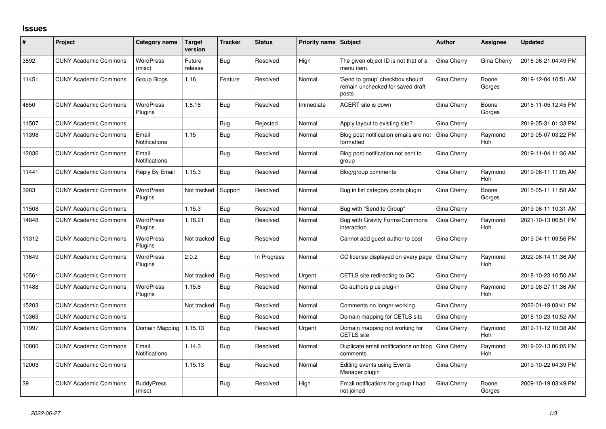## **Issues**

| #     | Project                      | Category name                 | <b>Target</b><br>version | <b>Tracker</b> | <b>Status</b> | <b>Priority name Subject</b> |                                                                              | <b>Author</b> | Assignee              | <b>Updated</b>      |
|-------|------------------------------|-------------------------------|--------------------------|----------------|---------------|------------------------------|------------------------------------------------------------------------------|---------------|-----------------------|---------------------|
| 3892  | <b>CUNY Academic Commons</b> | <b>WordPress</b><br>(misc)    | Future<br>release        | Bug            | Resolved      | High                         | The given object ID is not that of a<br>menu item.                           | Gina Cherry   | Gina Cherry           | 2016-06-21 04:49 PM |
| 11451 | <b>CUNY Academic Commons</b> | Group Blogs                   | 1.16                     | Feature        | Resolved      | Normal                       | 'Send to group' checkbox should<br>remain unchecked for saved draft<br>posts | Gina Cherry   | Boone<br>Gorges       | 2019-12-04 10:51 AM |
| 4850  | <b>CUNY Academic Commons</b> | <b>WordPress</b><br>Plugins   | 1.8.16                   | Bug            | Resolved      | Immediate                    | ACERT site is down                                                           | Gina Cherry   | Boone<br>Gorges       | 2015-11-05 12:45 PM |
| 11507 | <b>CUNY Academic Commons</b> |                               |                          | Bug            | Rejected      | Normal                       | Apply layout to existing site?                                               | Gina Cherry   |                       | 2019-05-31 01:33 PM |
| 11398 | <b>CUNY Academic Commons</b> | Email<br>Notifications        | 1.15                     | Bug            | Resolved      | Normal                       | Blog post notification emails are not<br>formatted                           | Gina Cherry   | Raymond<br>Hoh        | 2019-05-07 03:22 PM |
| 12036 | <b>CUNY Academic Commons</b> | Email<br>Notifications        |                          | Bug            | Resolved      | Normal                       | Blog post notification not sent to<br>group                                  | Gina Cherry   |                       | 2019-11-04 11:36 AM |
| 11441 | <b>CUNY Academic Commons</b> | Reply By Email                | 1.15.3                   | <b>Bug</b>     | Resolved      | Normal                       | Blog/group comments                                                          | Gina Cherry   | Raymond<br><b>Hoh</b> | 2019-06-11 11:05 AM |
| 3983  | <b>CUNY Academic Commons</b> | <b>WordPress</b><br>Plugins   | Not tracked              | Support        | Resolved      | Normal                       | Bug in list category posts plugin                                            | Gina Cherry   | Boone<br>Gorges       | 2015-05-11 11:58 AM |
| 11508 | <b>CUNY Academic Commons</b> |                               | 1.15.3                   | Bug            | Resolved      | Normal                       | Bug with "Send to Group"                                                     | Gina Cherry   |                       | 2019-06-11 10:31 AM |
| 14848 | <b>CUNY Academic Commons</b> | <b>WordPress</b><br>Plugins   | 1.18.21                  | Bug            | Resolved      | Normal                       | Bug with Gravity Forms/Commons<br>interaction                                | Gina Cherry   | Raymond<br><b>Hoh</b> | 2021-10-13 06:51 PM |
| 11312 | <b>CUNY Academic Commons</b> | <b>WordPress</b><br>Plugins   | Not tracked              | Bug            | Resolved      | Normal                       | Cannot add guest author to post                                              | Gina Cherry   |                       | 2019-04-11 09:56 PM |
| 11649 | <b>CUNY Academic Commons</b> | <b>WordPress</b><br>Plugins   | 2.0.2                    | <b>Bug</b>     | In Progress   | Normal                       | CC license displayed on every page                                           | Gina Cherry   | Raymond<br><b>Hoh</b> | 2022-06-14 11:36 AM |
| 10561 | <b>CUNY Academic Commons</b> |                               | Not tracked              | Bug            | Resolved      | Urgent                       | CETLS site redirecting to GC                                                 | Gina Cherry   |                       | 2018-10-23 10:50 AM |
| 11488 | <b>CUNY Academic Commons</b> | <b>WordPress</b><br>Plugins   | 1.15.8                   | Bug            | Resolved      | Normal                       | Co-authors plus plug-in                                                      | Gina Cherry   | Raymond<br><b>Hoh</b> | 2019-08-27 11:36 AM |
| 15203 | <b>CUNY Academic Commons</b> |                               | Not tracked              | Bug            | Resolved      | Normal                       | Comments no longer working                                                   | Gina Cherry   |                       | 2022-01-19 03:41 PM |
| 10363 | <b>CUNY Academic Commons</b> |                               |                          | Bug            | Resolved      | Normal                       | Domain mapping for CETLS site                                                | Gina Cherry   |                       | 2018-10-23 10:52 AM |
| 11997 | <b>CUNY Academic Commons</b> | Domain Mapping                | 1.15.13                  | Bug            | Resolved      | Urgent                       | Domain mapping not working for<br><b>CETLS</b> site                          | Gina Cherry   | Raymond<br>Hoh        | 2019-11-12 10:38 AM |
| 10800 | <b>CUNY Academic Commons</b> | Email<br><b>Notifications</b> | 1.14.3                   | Bug            | Resolved      | Normal                       | Duplicate email notifications on blog<br>comments                            | Gina Cherry   | Raymond<br>Hoh        | 2019-02-13 06:05 PM |
| 12003 | <b>CUNY Academic Commons</b> |                               | 1.15.13                  | Bug            | Resolved      | Normal                       | Editing events using Events<br>Manager plugin                                | Gina Cherry   |                       | 2019-10-22 04:39 PM |
| 39    | <b>CUNY Academic Commons</b> | <b>BuddyPress</b><br>(misc)   |                          | Bug            | Resolved      | High                         | Email notifications for group I had<br>not joined                            | Gina Cherry   | Boone<br>Gorges       | 2009-10-19 03:49 PM |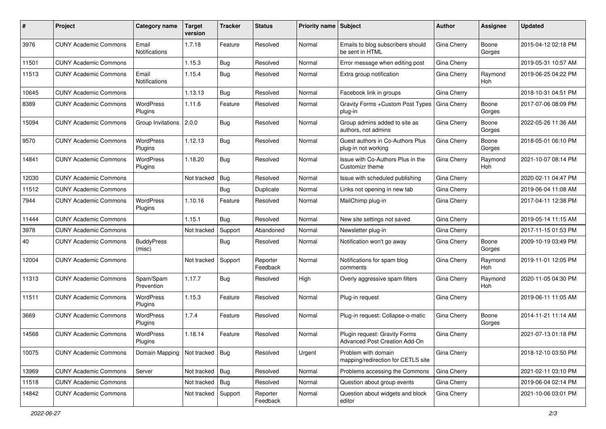| #     | Project                      | <b>Category name</b>        | <b>Target</b><br>version | <b>Tracker</b> | <b>Status</b>        | Priority name Subject |                                                                | Author             | Assignee              | <b>Updated</b>      |
|-------|------------------------------|-----------------------------|--------------------------|----------------|----------------------|-----------------------|----------------------------------------------------------------|--------------------|-----------------------|---------------------|
| 3976  | <b>CUNY Academic Commons</b> | Email<br>Notifications      | 1.7.18                   | Feature        | Resolved             | Normal                | Emails to blog subscribers should<br>be sent in HTML           | Gina Cherry        | Boone<br>Gorges       | 2015-04-12 02:18 PM |
| 11501 | <b>CUNY Academic Commons</b> |                             | 1.15.3                   | Bug            | Resolved             | Normal                | Error message when editing post                                | Gina Cherry        |                       | 2019-05-31 10:57 AM |
| 11513 | <b>CUNY Academic Commons</b> | Email<br>Notifications      | 1.15.4                   | Bug            | Resolved             | Normal                | Extra group notification                                       | Gina Cherry        | Raymond<br>Hoh        | 2019-06-25 04:22 PM |
| 10645 | <b>CUNY Academic Commons</b> |                             | 1.13.13                  | Bug            | Resolved             | Normal                | Facebook link in groups                                        | Gina Cherry        |                       | 2018-10-31 04:51 PM |
| 8389  | <b>CUNY Academic Commons</b> | WordPress<br>Plugins        | 1.11.6                   | Feature        | Resolved             | Normal                | Gravity Forms + Custom Post Types<br>plug-in                   | Gina Cherry        | Boone<br>Gorges       | 2017-07-06 08:09 PM |
| 15094 | <b>CUNY Academic Commons</b> | Group Invitations 2.0.0     |                          | Bug            | Resolved             | Normal                | Group admins added to site as<br>authors, not admins           | Gina Cherry        | Boone<br>Gorges       | 2022-05-26 11:36 AM |
| 9570  | <b>CUNY Academic Commons</b> | <b>WordPress</b><br>Plugins | 1.12.13                  | Bug            | Resolved             | Normal                | Guest authors in Co-Authors Plus<br>plug-in not working        | Gina Cherry        | Boone<br>Gorges       | 2018-05-01 06:10 PM |
| 14841 | <b>CUNY Academic Commons</b> | <b>WordPress</b><br>Plugins | 1.18.20                  | Bug            | Resolved             | Normal                | Issue with Co-Authors Plus in the<br>Customizr theme           | Gina Cherry        | Raymond<br>Hoh        | 2021-10-07 08:14 PM |
| 12030 | <b>CUNY Academic Commons</b> |                             | Not tracked              | Bug            | Resolved             | Normal                | Issue with scheduled publishing                                | Gina Cherry        |                       | 2020-02-11 04:47 PM |
| 11512 | <b>CUNY Academic Commons</b> |                             |                          | Bug            | Duplicate            | Normal                | Links not opening in new tab                                   | Gina Cherry        |                       | 2019-06-04 11:08 AM |
| 7944  | <b>CUNY Academic Commons</b> | <b>WordPress</b><br>Plugins | 1.10.16                  | Feature        | Resolved             | Normal                | MailChimp plug-in                                              | Gina Cherry        |                       | 2017-04-11 12:38 PM |
| 11444 | <b>CUNY Academic Commons</b> |                             | 1.15.1                   | Bug            | Resolved             | Normal                | New site settings not saved                                    | Gina Cherry        |                       | 2019-05-14 11:15 AM |
| 3978  | <b>CUNY Academic Commons</b> |                             | Not tracked              | Support        | Abandoned            | Normal                | Newsletter plug-in                                             | Gina Cherry        |                       | 2017-11-15 01:53 PM |
| 40    | <b>CUNY Academic Commons</b> | <b>BuddyPress</b><br>(misc) |                          | Bug            | Resolved             | Normal                | Notification won't go away                                     | Gina Cherry        | Boone<br>Gorges       | 2009-10-19 03:49 PM |
| 12004 | <b>CUNY Academic Commons</b> |                             | Not tracked              | Support        | Reporter<br>Feedback | Normal                | Notifications for spam blog<br>comments                        | Gina Cherry        | Raymond<br><b>Hoh</b> | 2019-11-01 12:05 PM |
| 11313 | <b>CUNY Academic Commons</b> | Spam/Spam<br>Prevention     | 1.17.7                   | Bug            | Resolved             | High                  | Overly aggressive spam filters                                 | Gina Cherry        | Raymond<br>Hoh        | 2020-11-05 04:30 PM |
| 11511 | <b>CUNY Academic Commons</b> | <b>WordPress</b><br>Plugins | 1.15.3                   | Feature        | Resolved             | Normal                | Plug-in request                                                | Gina Cherry        |                       | 2019-06-11 11:05 AM |
| 3669  | <b>CUNY Academic Commons</b> | WordPress<br>Plugins        | 1.7.4                    | Feature        | Resolved             | Normal                | Plug-in request: Collapse-o-matic                              | Gina Cherry        | Boone<br>Gorges       | 2014-11-21 11:14 AM |
| 14568 | <b>CUNY Academic Commons</b> | WordPress<br>Plugins        | 1.18.14                  | Feature        | Resolved             | Normal                | Plugin request: Gravity Forms<br>Advanced Post Creation Add-On | Gina Cherry        |                       | 2021-07-13 01:18 PM |
| 10075 | <b>CUNY Academic Commons</b> | Domain Mapping              | Not tracked Bug          |                | Resolved             | Urgent                | Problem with domain<br>mapping/redirection for CETLS site      | Gina Cherry        |                       | 2018-12-10 03:50 PM |
| 13969 | <b>CUNY Academic Commons</b> | Server                      | Not tracked   Bug        |                | Resolved             | Normal                | Problems accessing the Commons                                 | <b>Gina Cherry</b> |                       | 2021-02-11 03:10 PM |
| 11518 | <b>CUNY Academic Commons</b> |                             | Not tracked   Bug        |                | Resolved             | Normal                | Question about group events                                    | Gina Cherry        |                       | 2019-06-04 02:14 PM |
| 14842 | <b>CUNY Academic Commons</b> |                             | Not tracked              | Support        | Reporter<br>Feedback | Normal                | Question about widgets and block<br>editor                     | Gina Cherry        |                       | 2021-10-06 03:01 PM |